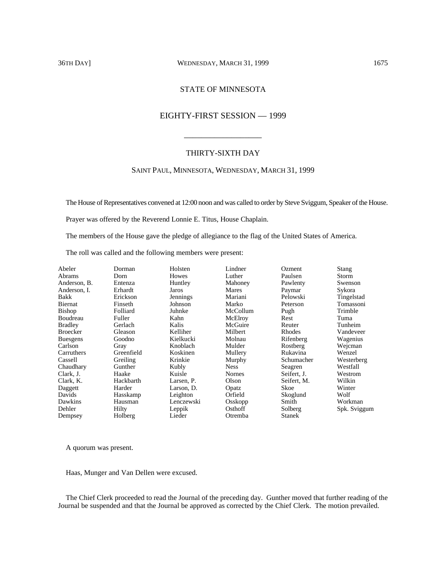### 36TH DAY] WEDNESDAY, MARCH 31, 1999 1675

# STATE OF MINNESOTA

# EIGHTY-FIRST SESSION — 1999

\_\_\_\_\_\_\_\_\_\_\_\_\_\_\_\_\_\_

### THIRTY-SIXTH DAY

# SAINT PAUL, MINNESOTA, WEDNESDAY, MARCH 31, 1999

The House of Representatives convened at 12:00 noon and was called to order by Steve Sviggum, Speaker of the House.

Prayer was offered by the Reverend Lonnie E. Titus, House Chaplain.

The members of the House gave the pledge of allegiance to the flag of the United States of America.

The roll was called and the following members were present:

| Abeler          | Dorman     | Holsten    | Lindner       | <b>Ozment</b> | Stang        |
|-----------------|------------|------------|---------------|---------------|--------------|
| <b>Abrams</b>   | Dorn       | Howes      | Luther        | Paulsen       | Storm        |
| Anderson, B.    | Entenza    | Huntley    | Mahoney       | Pawlenty      | Swenson      |
| Anderson, I.    | Erhardt    | Jaros      | Mares         | Paymar        | Sykora       |
| Bakk            | Erickson   | Jennings   | Mariani       | Pelowski      | Tingelstad   |
| Biernat         | Finseth    | Johnson    | Marko         | Peterson      | Tomassoni    |
| Bishop          | Folliard   | Juhnke     | McCollum      | Pugh          | Trimble      |
| Boudreau        | Fuller     | Kahn       | McElroy       | Rest          | Tuma         |
| <b>Bradley</b>  | Gerlach    | Kalis      | McGuire       | Reuter        | Tunheim      |
| <b>Broecker</b> | Gleason    | Kelliher   | Milbert       | Rhodes        | Vandeveer    |
| <b>Buesgens</b> | Goodno     | Kielkucki  | Molnau        | Rifenberg     | Wagenius     |
| Carlson         | Gray       | Knoblach   | Mulder        | Rostberg      | Wejcman      |
| Carruthers      | Greenfield | Koskinen   | Mullery       | Rukavina      | Wenzel       |
| Cassell         | Greiling   | Krinkie    | Murphy        | Schumacher    | Westerberg   |
| Chaudhary       | Gunther    | Kubly      | <b>Ness</b>   | Seagren       | Westfall     |
| Clark, J.       | Haake      | Kuisle     | <b>Nornes</b> | Seifert, J.   | Westrom      |
| Clark, K.       | Hackbarth  | Larsen, P. | Olson         | Seifert, M.   | Wilkin       |
| Daggett         | Harder     | Larson, D. | Opatz         | Skoe          | Winter       |
| Davids          | Hasskamp   | Leighton   | Orfield       | Skoglund      | Wolf         |
| Dawkins         | Hausman    | Lenczewski | Osskopp       | Smith         | Workman      |
| Dehler          | Hilty      | Leppik     | Osthoff       | Solberg       | Spk. Sviggum |
| Dempsey         | Holberg    | Lieder     | Otremba       | <b>Stanek</b> |              |

A quorum was present.

Haas, Munger and Van Dellen were excused.

The Chief Clerk proceeded to read the Journal of the preceding day. Gunther moved that further reading of the Journal be suspended and that the Journal be approved as corrected by the Chief Clerk. The motion prevailed.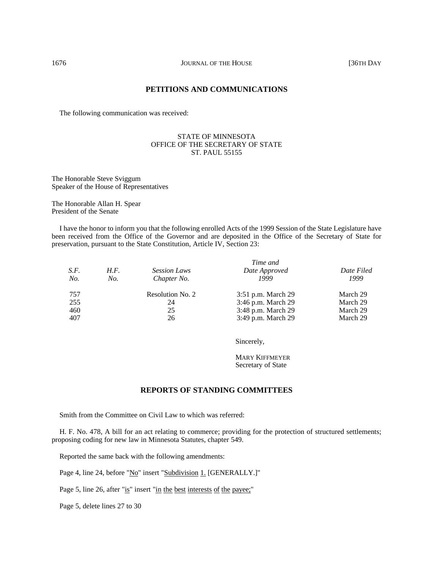# **PETITIONS AND COMMUNICATIONS**

The following communication was received:

## STATE OF MINNESOTA OFFICE OF THE SECRETARY OF STATE ST. PAUL 55155

The Honorable Steve Sviggum Speaker of the House of Representatives

The Honorable Allan H. Spear President of the Senate

I have the honor to inform you that the following enrolled Acts of the 1999 Session of the State Legislature have been received from the Office of the Governor and are deposited in the Office of the Secretary of State for preservation, pursuant to the State Constitution, Article IV, Section 23:

|      |      |                     | Time and           |            |
|------|------|---------------------|--------------------|------------|
| S.F. | H.F. | <b>Session Laws</b> | Date Approved      | Date Filed |
| No.  | No.  | Chapter No.         | 1999               | 1999       |
| 757  |      | Resolution No. 2    | 3:51 p.m. March 29 | March 29   |
| 255  |      | 24                  | 3:46 p.m. March 29 | March 29   |
| 460  |      | 25                  | 3:48 p.m. March 29 | March 29   |
| 407  |      | 26                  | 3:49 p.m. March 29 | March 29   |

Sincerely,

MARY KIFFMEYER Secretary of State

# **REPORTS OF STANDING COMMITTEES**

Smith from the Committee on Civil Law to which was referred:

H. F. No. 478, A bill for an act relating to commerce; providing for the protection of structured settlements; proposing coding for new law in Minnesota Statutes, chapter 549.

Reported the same back with the following amendments:

Page 4, line 24, before "No" insert "Subdivision 1. [GENERALLY.]"

Page 5, line 26, after "is" insert "in the best interests of the payee;"

Page 5, delete lines 27 to 30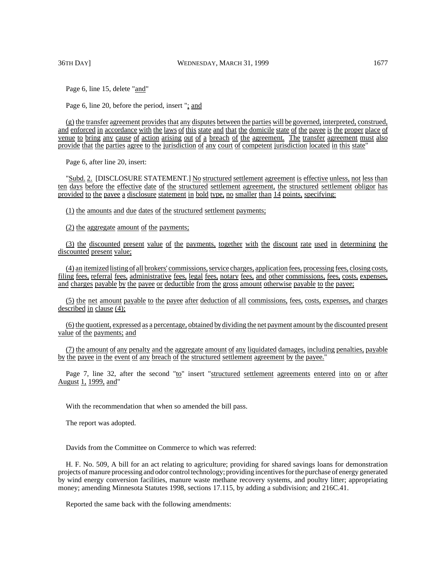Page 6, line 15, delete "and"

Page 6, line 20, before the period, insert "; and

(g) the transfer agreement provides that any disputes between the parties will be governed, interpreted, construed, and enforced in accordance with the laws of this state and that the domicile state of the payee is the proper place of venue to bring any cause of action arising out of a breach of the agreement. The transfer agreement must also provide that the parties agree to the jurisdiction of any court of competent jurisdiction located in this state"

Page 6, after line 20, insert:

"Subd. 2. [DISCLOSURE STATEMENT.] No structured settlement agreement is effective unless, not less than ten days before the effective date of the structured settlement agreement, the structured settlement obligor has provided to the payee a disclosure statement in bold type, no smaller than 14 points, specifying:

(1) the amounts and due dates of the structured settlement payments;

(2) the aggregate amount of the payments;

(3) the discounted present value of the payments, together with the discount rate used in determining the discounted present value;

(4) an itemized listing of all brokers' commissions, service charges, application fees, processing fees, closing costs, filing fees, referral fees, administrative fees, legal fees, notary fees, and other commissions, fees, costs, expenses, and charges payable by the payee or deductible from the gross amount otherwise payable to the payee;

(5) the net amount payable to the payee after deduction of all commissions, fees, costs, expenses, and charges described in clause  $(4)$ ;

(6) the quotient, expressed as a percentage, obtained bydividing the net payment amount by the discounted present value of the payments; and

(7) the amount of any penalty and the aggregate amount of any liquidated damages, including penalties, payable by the payee in the event of any breach of the structured settlement agreement by the payee."

Page 7, line 32, after the second "to" insert "structured settlement agreements entered into on or after August 1, 1999, and"

With the recommendation that when so amended the bill pass.

The report was adopted.

Davids from the Committee on Commerce to which was referred:

H. F. No. 509, A bill for an act relating to agriculture; providing for shared savings loans for demonstration projects of manure processing and odor control technology; providing incentives for the purchase of energy generated by wind energy conversion facilities, manure waste methane recovery systems, and poultry litter; appropriating money; amending Minnesota Statutes 1998, sections 17.115, by adding a subdivision; and 216C.41.

Reported the same back with the following amendments: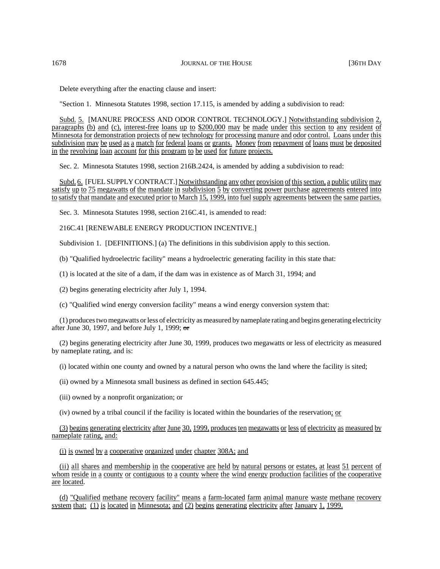Delete everything after the enacting clause and insert:

"Section 1. Minnesota Statutes 1998, section 17.115, is amended by adding a subdivision to read:

Subd. 5. [MANURE PROCESS AND ODOR CONTROL TECHNOLOGY.] Notwithstanding subdivision 2, paragraphs (b) and (c), interest-free loans up to \$200,000 may be made under this section to any resident of Minnesota for demonstration projects of new technology for processing manure and odor control. Loans under this subdivision may be used as a match for federal loans or grants. Money from repayment of loans must be deposited in the revolving loan account for this program to be used for future projects.

Sec. 2. Minnesota Statutes 1998, section 216B.2424, is amended by adding a subdivision to read:

Subd. 6. [FUEL SUPPLY CONTRACT.] Notwithstanding any other provision ofthissection, a public utility may satisfy up to 75 megawatts of the mandate in subdivision 5 by converting power purchase agreements entered into to satisfy that mandate and executed prior to March 15, 1999, into fuel supply agreements between the same parties.

Sec. 3. Minnesota Statutes 1998, section 216C.41, is amended to read:

216C.41 [RENEWABLE ENERGY PRODUCTION INCENTIVE.]

Subdivision 1. [DEFINITIONS.] (a) The definitions in this subdivision apply to this section.

(b) "Qualified hydroelectric facility" means a hydroelectric generating facility in this state that:

(1) is located at the site of a dam, if the dam was in existence as of March 31, 1994; and

(2) begins generating electricity after July 1, 1994.

(c) "Qualified wind energy conversion facility" means a wind energy conversion system that:

(1) produces two megawatts or less of electricity as measured by nameplate rating and begins generating electricity after June 30, 1997, and before July 1, 1999;  $\sigma$ 

(2) begins generating electricity after June 30, 1999, produces two megawatts or less of electricity as measured by nameplate rating, and is:

(i) located within one county and owned by a natural person who owns the land where the facility is sited;

(ii) owned by a Minnesota small business as defined in section 645.445;

(iii) owned by a nonprofit organization; or

(iv) owned by a tribal council if the facility is located within the boundaries of the reservation; or

(3) begins generating electricity after June 30, 1999, producesten megawatts or less of electricity as measured by nameplate rating, and:

(i) is owned by a cooperative organized under chapter 308A; and

(ii) all shares and membership in the cooperative are held by natural persons or estates, at least 51 percent of whom reside in a county or contiguous to a county where the wind energy production facilities of the cooperative are located.

(d) "Qualified methane recovery facility" means a farm-located farm animal manure waste methane recovery system that: (1) is located in Minnesota; and (2) begins generating electricity after January 1, 1999.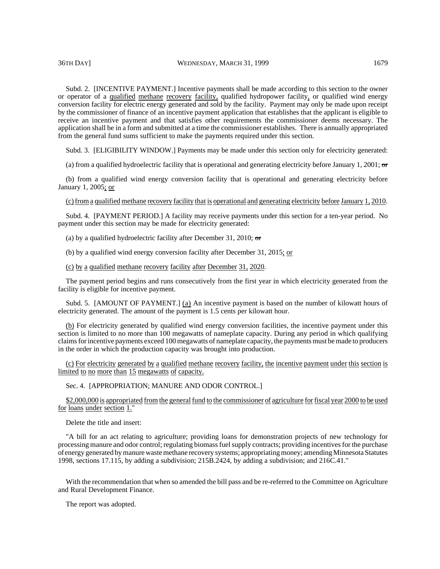Subd. 2. [INCENTIVE PAYMENT.] Incentive payments shall be made according to this section to the owner or operator of a qualified methane recovery facility, qualified hydropower facility, or qualified wind energy conversion facility for electric energy generated and sold by the facility. Payment may only be made upon receipt by the commissioner of finance of an incentive payment application that establishes that the applicant is eligible to receive an incentive payment and that satisfies other requirements the commissioner deems necessary. The application shall be in a form and submitted at a time the commissioner establishes. There is annually appropriated from the general fund sums sufficient to make the payments required under this section.

Subd. 3. [ELIGIBILITY WINDOW.] Payments may be made under this section only for electricity generated:

(a) from a qualified hydroelectric facility that is operational and generating electricity before January 1, 2001;  $\sigma$ 

(b) from a qualified wind energy conversion facility that is operational and generating electricity before January 1, 2005; or

(c)from a qualified methane recovery facility that is operational and generating electricity before January 1, 2010.

Subd. 4. [PAYMENT PERIOD.] A facility may receive payments under this section for a ten-year period. No payment under this section may be made for electricity generated:

(a) by a qualified hydroelectric facility after December 31, 2010;  $\sigma$ 

(b) by a qualified wind energy conversion facility after December 31, 2015; or

(c) by a qualified methane recovery facility after December 31, 2020.

The payment period begins and runs consecutively from the first year in which electricity generated from the facility is eligible for incentive payment.

Subd. 5. [AMOUNT OF PAYMENT.] (a) An incentive payment is based on the number of kilowatt hours of electricity generated. The amount of the payment is 1.5 cents per kilowatt hour.

(b) For electricity generated by qualified wind energy conversion facilities, the incentive payment under this section is limited to no more than 100 megawatts of nameplate capacity. During any period in which qualifying claims for incentive payments exceed 100 megawatts of nameplate capacity, the payments must be made to producers in the order in which the production capacity was brought into production.

(c) For electricity generated by a qualified methane recovery facility, the incentive payment under this section is limited to no more than 15 megawatts of capacity.

Sec. 4. [APPROPRIATION; MANURE AND ODOR CONTROL.]

\$2,000,000 is appropriated from the general fund to the commissioner of agriculture forfiscal year 2000 to be used for loans under section 1."

Delete the title and insert:

"A bill for an act relating to agriculture; providing loans for demonstration projects of new technology for processing manure and odor control; regulating biomass fuel supply contracts; providing incentives for the purchase of energy generated by manure waste methane recovery systems; appropriating money; amending Minnesota Statutes 1998, sections 17.115, by adding a subdivision; 215B.2424, by adding a subdivision; and 216C.41."

With the recommendation that when so amended the bill pass and be re-referred to the Committee on Agriculture and Rural Development Finance.

The report was adopted.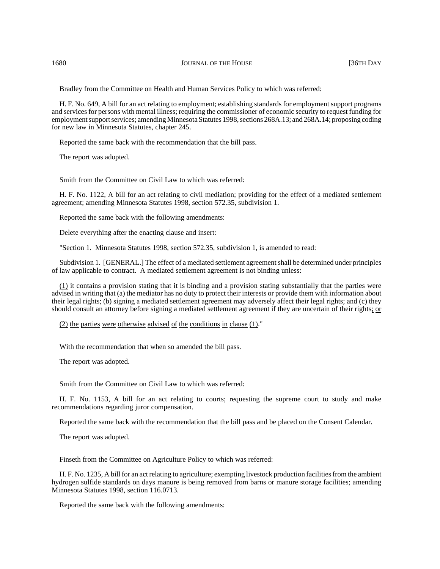Bradley from the Committee on Health and Human Services Policy to which was referred:

H. F. No. 649, A bill for an act relating to employment; establishing standards for employment support programs and services for persons with mental illness; requiring the commissioner of economic security to request funding for employment support services; amending Minnesota Statutes 1998, sections 268A.13; and 268A.14; proposing coding for new law in Minnesota Statutes, chapter 245.

Reported the same back with the recommendation that the bill pass.

The report was adopted.

Smith from the Committee on Civil Law to which was referred:

H. F. No. 1122, A bill for an act relating to civil mediation; providing for the effect of a mediated settlement agreement; amending Minnesota Statutes 1998, section 572.35, subdivision 1.

Reported the same back with the following amendments:

Delete everything after the enacting clause and insert:

"Section 1. Minnesota Statutes 1998, section 572.35, subdivision 1, is amended to read:

Subdivision 1. [GENERAL.] The effect of a mediated settlement agreement shall be determined under principles of law applicable to contract. A mediated settlement agreement is not binding unless:

(1) it contains a provision stating that it is binding and a provision stating substantially that the parties were advised in writing that (a) the mediator has no duty to protect their interests or provide them with information about their legal rights; (b) signing a mediated settlement agreement may adversely affect their legal rights; and (c) they should consult an attorney before signing a mediated settlement agreement if they are uncertain of their rights; or

(2) the parties were otherwise advised of the conditions in clause (1)."

With the recommendation that when so amended the bill pass.

The report was adopted.

Smith from the Committee on Civil Law to which was referred:

H. F. No. 1153, A bill for an act relating to courts; requesting the supreme court to study and make recommendations regarding juror compensation.

Reported the same back with the recommendation that the bill pass and be placed on the Consent Calendar.

The report was adopted.

Finseth from the Committee on Agriculture Policy to which was referred:

H. F. No. 1235, A bill for an act relating to agriculture; exempting livestock production facilities from the ambient hydrogen sulfide standards on days manure is being removed from barns or manure storage facilities; amending Minnesota Statutes 1998, section 116.0713.

Reported the same back with the following amendments: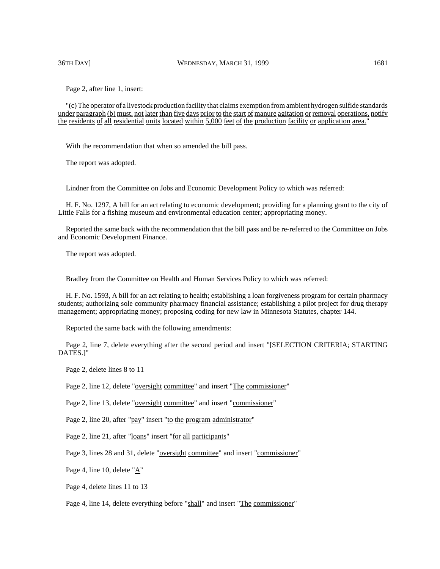### 36TH DAY] WEDNESDAY, MARCH 31, 1999 1681

Page 2, after line 1, insert:

"(c) The operator of a livestock production facility that claims exemption from ambient hydrogen sulfide standards under paragraph (b) must, not later than five days prior to the start of manure agitation or removal operations, notify the residents of all residential units located within 5,000 feet of the production facility or application area."

With the recommendation that when so amended the bill pass.

The report was adopted.

Lindner from the Committee on Jobs and Economic Development Policy to which was referred:

H. F. No. 1297, A bill for an act relating to economic development; providing for a planning grant to the city of Little Falls for a fishing museum and environmental education center; appropriating money.

Reported the same back with the recommendation that the bill pass and be re-referred to the Committee on Jobs and Economic Development Finance.

The report was adopted.

Bradley from the Committee on Health and Human Services Policy to which was referred:

H. F. No. 1593, A bill for an act relating to health; establishing a loan forgiveness program for certain pharmacy students; authorizing sole community pharmacy financial assistance; establishing a pilot project for drug therapy management; appropriating money; proposing coding for new law in Minnesota Statutes, chapter 144.

Reported the same back with the following amendments:

Page 2, line 7, delete everything after the second period and insert "[SELECTION CRITERIA; STARTING DATES.]"

Page 2, delete lines 8 to 11

Page 2, line 12, delete "oversight committee" and insert "The commissioner"

Page 2, line 13, delete "oversight committee" and insert "commissioner"

Page 2, line 20, after "pay" insert "to the program administrator"

Page 2, line 21, after "loans" insert "for all participants"

Page 3, lines 28 and 31, delete "oversight committee" and insert "commissioner"

Page 4, line 10, delete "A"

Page 4, delete lines 11 to 13

Page 4, line 14, delete everything before "shall" and insert "The commissioner"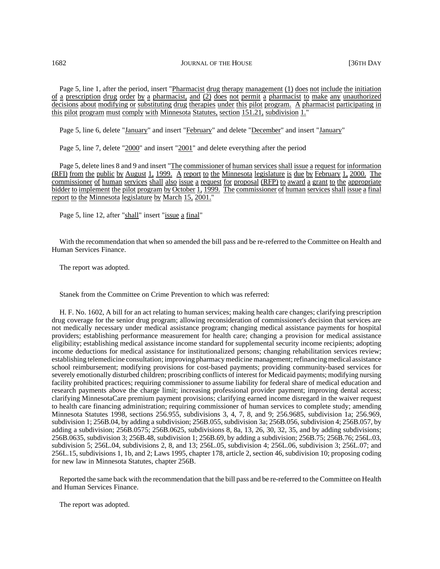1682 **JOURNAL OF THE HOUSE 1682** [36TH DAY

Page 5, line 1, after the period, insert "Pharmacist drug therapy management (1) does not include the initiation of a prescription drug order by a pharmacist, and (2) does not permit a pharmacist to make any unauthorized decisions about modifying or substituting drug therapies under this pilot program. A pharmacist participating in this pilot program must comply with Minnesota Statutes, section 151.21, subdivision 1."

Page 5, line 6, delete "January" and insert "February" and delete "December" and insert "January"

Page 5, line 7, delete "2000" and insert "2001" and delete everything after the period

Page 5, delete lines 8 and 9 and insert "The commissioner of human services shall issue a request for information (RFI) from the public by August 1, 1999. A report to the Minnesota legislature is due by February 1, 2000. The commissioner of human services shall also issue a request for proposal (RFP) to award a grant to the appropriate bidder to implement the pilot program by October 1, 1999. The commissioner of human services shall issue a final report to the Minnesota legislature by March 15, 2001."

Page 5, line 12, after "shall" insert "issue a final"

With the recommendation that when so amended the bill pass and be re-referred to the Committee on Health and Human Services Finance.

The report was adopted.

Stanek from the Committee on Crime Prevention to which was referred:

H. F. No. 1602, A bill for an act relating to human services; making health care changes; clarifying prescription drug coverage for the senior drug program; allowing reconsideration of commissioner's decision that services are not medically necessary under medical assistance program; changing medical assistance payments for hospital providers; establishing performance measurement for health care; changing a provision for medical assistance eligibility; establishing medical assistance income standard for supplemental security income recipients; adopting income deductions for medical assistance for institutionalized persons; changing rehabilitation services review; establishing telemedicine consultation; improving pharmacy medicine management; refinancing medical assistance school reimbursement; modifying provisions for cost-based payments; providing community-based services for severely emotionally disturbed children; proscribing conflicts of interest for Medicaid payments; modifying nursing facility prohibited practices; requiring commissioner to assume liability for federal share of medical education and research payments above the charge limit; increasing professional provider payment; improving dental access; clarifying MinnesotaCare premium payment provisions; clarifying earned income disregard in the waiver request to health care financing administration; requiring commissioner of human services to complete study; amending Minnesota Statutes 1998, sections 256.955, subdivisions 3, 4, 7, 8, and 9; 256.9685, subdivision 1a; 256.969, subdivision 1; 256B.04, by adding a subdivision; 256B.055, subdivision 3a; 256B.056, subdivision 4; 256B.057, by adding a subdivision; 256B.0575; 256B.0625, subdivisions 8, 8a, 13, 26, 30, 32, 35, and by adding subdivisions; 256B.0635, subdivision 3; 256B.48, subdivision 1; 256B.69, by adding a subdivision; 256B.75; 256B.76; 256L.03, subdivision 5; 256L.04, subdivisions 2, 8, and 13; 256L.05, subdivision 4; 256L.06, subdivision 3; 256L.07; and 256L.15, subdivisions 1, 1b, and 2; Laws 1995, chapter 178, article 2, section 46, subdivision 10; proposing coding for new law in Minnesota Statutes, chapter 256B.

Reported the same back with the recommendation that the bill pass and be re-referred to the Committee on Health and Human Services Finance.

The report was adopted.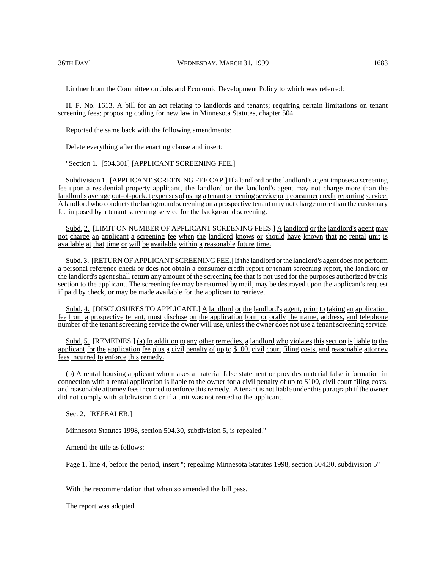Lindner from the Committee on Jobs and Economic Development Policy to which was referred:

H. F. No. 1613, A bill for an act relating to landlords and tenants; requiring certain limitations on tenant screening fees; proposing coding for new law in Minnesota Statutes, chapter 504.

Reported the same back with the following amendments:

Delete everything after the enacting clause and insert:

"Section 1. [504.301] [APPLICANT SCREENING FEE.]

Subdivision 1. [APPLICANT SCREENING FEE CAP.] If a landlord or the landlord's agent imposes a screening fee upon a residential property applicant, the landlord or the landlord's agent may not charge more than the landlord's average out-of-pocket expenses of using a tenant screening service or a consumer credit reporting service. A landlord who conducts the background screening on a prospective tenant may not charge more than the customary fee imposed by a tenant screening service for the background screening.

Subd. 2. [LIMIT ON NUMBER OF APPLICANT SCREENING FEES.] A landlord or the landlord's agent may not charge an applicant a screening fee when the landlord knows or should have known that no rental unit is available at that time or will be available within a reasonable future time.

Subd. 3. [RETURN OF APPLICANT SCREENING FEE.] If the landlord or the landlord's agent does not perform a personal reference check or does not obtain a consumer credit report or tenant screening report, the landlord or the landlord's agent shall return any amount of the screening fee that is not used for the purposes authorized by this section to the applicant. The screening fee may be returned by mail, may be destroyed upon the applicant's request if paid by check, or may be made available for the applicant to retrieve.

Subd. 4. [DISCLOSURES TO APPLICANT.] A landlord or the landlord's agent, prior to taking an application fee from a prospective tenant, must disclose on the application form or orally the name, address, and telephone number of the tenant screening service the owner will use, unless the owner does not use a tenant screening service.

Subd. 5. [REMEDIES.] (a) In addition to any other remedies, a landlord who violates this section is liable to the applicant for the application fee plus a civil penalty of up to \$100, civil court filing costs, and reasonable attorney fees incurred to enforce this remedy.

(b) A rental housing applicant who makes a material false statement or provides material false information in connection with a rental application is liable to the owner for a civil penalty of up to \$100, civil court filing costs, and reasonable attorney fees incurred to enforce this remedy. A tenant is not liable under this paragraph if the owner did not comply with subdivision 4 or if a unit was not rented to the applicant.

Sec. 2. [REPEALER.]

Minnesota Statutes 1998, section 504.30, subdivision 5, is repealed."

Amend the title as follows:

Page 1, line 4, before the period, insert "; repealing Minnesota Statutes 1998, section 504.30, subdivision 5"

With the recommendation that when so amended the bill pass.

The report was adopted.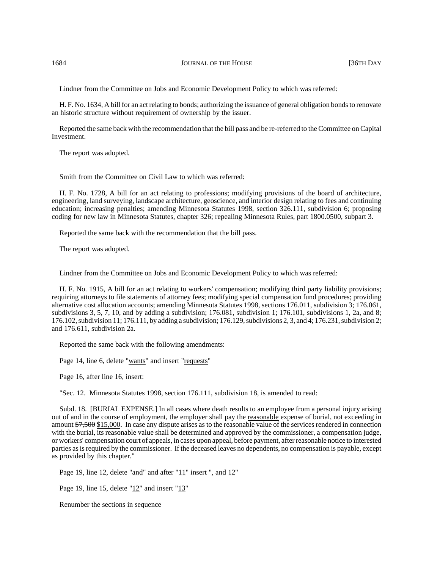1684 **JOURNAL OF THE HOUSE 1684 JOURNAL OF THE HOUSE 136TH DAY** 

Lindner from the Committee on Jobs and Economic Development Policy to which was referred:

H. F. No. 1634, A bill for an act relating to bonds; authorizing the issuance of general obligation bonds to renovate an historic structure without requirement of ownership by the issuer.

Reported the same back with the recommendation that the bill pass and be re-referred to the Committee on Capital Investment.

The report was adopted.

Smith from the Committee on Civil Law to which was referred:

H. F. No. 1728, A bill for an act relating to professions; modifying provisions of the board of architecture, engineering, land surveying, landscape architecture, geoscience, and interior design relating to fees and continuing education; increasing penalties; amending Minnesota Statutes 1998, section 326.111, subdivision 6; proposing coding for new law in Minnesota Statutes, chapter 326; repealing Minnesota Rules, part 1800.0500, subpart 3.

Reported the same back with the recommendation that the bill pass.

The report was adopted.

Lindner from the Committee on Jobs and Economic Development Policy to which was referred:

H. F. No. 1915, A bill for an act relating to workers' compensation; modifying third party liability provisions; requiring attorneys to file statements of attorney fees; modifying special compensation fund procedures; providing alternative cost allocation accounts; amending Minnesota Statutes 1998, sections 176.011, subdivision 3; 176.061, subdivisions 3, 5, 7, 10, and by adding a subdivision; 176.081, subdivision 1; 176.101, subdivisions 1, 2a, and 8; 176.102, subdivision 11; 176.111, by adding a subdivision; 176.129, subdivisions 2, 3, and 4; 176.231, subdivision 2; and 176.611, subdivision 2a.

Reported the same back with the following amendments:

Page 14, line 6, delete "wants" and insert "requests"

Page 16, after line 16, insert:

"Sec. 12. Minnesota Statutes 1998, section 176.111, subdivision 18, is amended to read:

Subd. 18. [BURIAL EXPENSE.] In all cases where death results to an employee from a personal injury arising out of and in the course of employment, the employer shall pay the reasonable expense of burial, not exceeding in amount \$7,500 \$15,000. In case any dispute arises as to the reasonable value of the services rendered in connection with the burial, its reasonable value shall be determined and approved by the commissioner, a compensation judge, or workers' compensation court of appeals, in cases upon appeal, before payment, after reasonable notice to interested parties as is required by the commissioner. If the deceased leaves no dependents, no compensation is payable, except as provided by this chapter."

Page 19, line 12, delete "and" and after "11" insert ", and 12"

Page 19, line 15, delete " $12$ " and insert " $13$ "

Renumber the sections in sequence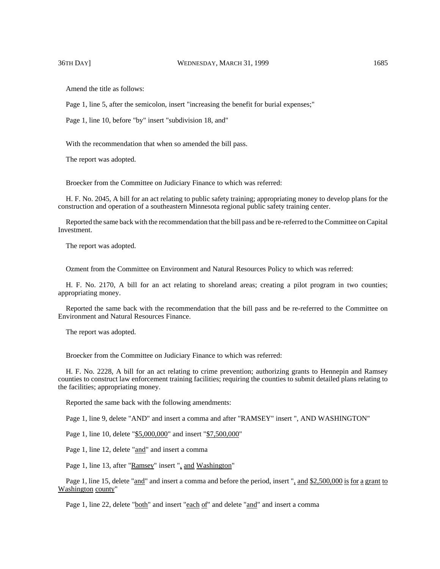Amend the title as follows:

Page 1, line 5, after the semicolon, insert "increasing the benefit for burial expenses;"

Page 1, line 10, before "by" insert "subdivision 18, and"

With the recommendation that when so amended the bill pass.

The report was adopted.

Broecker from the Committee on Judiciary Finance to which was referred:

H. F. No. 2045, A bill for an act relating to public safety training; appropriating money to develop plans for the construction and operation of a southeastern Minnesota regional public safety training center.

Reported the same back with the recommendation that the bill pass and be re-referred to the Committee on Capital Investment.

The report was adopted.

Ozment from the Committee on Environment and Natural Resources Policy to which was referred:

H. F. No. 2170, A bill for an act relating to shoreland areas; creating a pilot program in two counties; appropriating money.

Reported the same back with the recommendation that the bill pass and be re-referred to the Committee on Environment and Natural Resources Finance.

The report was adopted.

Broecker from the Committee on Judiciary Finance to which was referred:

H. F. No. 2228, A bill for an act relating to crime prevention; authorizing grants to Hennepin and Ramsey counties to construct law enforcement training facilities; requiring the counties to submit detailed plans relating to the facilities; appropriating money.

Reported the same back with the following amendments:

Page 1, line 9, delete "AND" and insert a comma and after "RAMSEY" insert ", AND WASHINGTON"

Page 1, line 10, delete "\$5,000,000" and insert "\$7,500,000"

Page 1, line 12, delete "and" and insert a comma

Page 1, line 13, after "Ramsey" insert ", and Washington"

Page 1, line 15, delete "and" and insert a comma and before the period, insert ", and \$2,500,000 is for a grant to Washington county"

Page 1, line 22, delete "both" and insert "each of" and delete "and" and insert a comma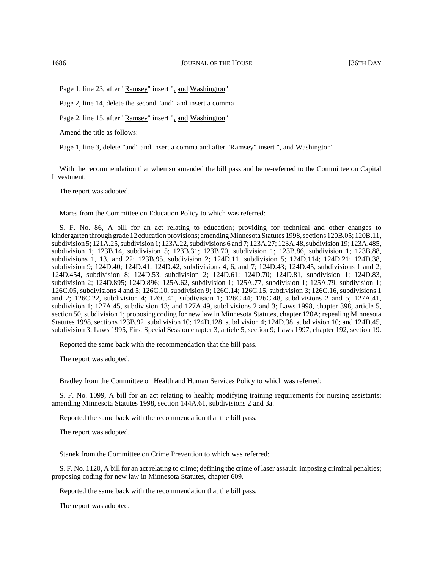Page 1, line 23, after "Ramsey" insert ", and Washington"

Page 2, line 14, delete the second "and" and insert a comma

Page 2, line 15, after "Ramsey" insert ", and Washington"

Amend the title as follows:

Page 1, line 3, delete "and" and insert a comma and after "Ramsey" insert ", and Washington"

With the recommendation that when so amended the bill pass and be re-referred to the Committee on Capital Investment.

The report was adopted.

Mares from the Committee on Education Policy to which was referred:

S. F. No. 86, A bill for an act relating to education; providing for technical and other changes to kindergarten through grade 12 education provisions; amending Minnesota Statutes 1998, sections 120B.05; 120B.11, subdivision 5; 121A.25, subdivision 1; 123A.22, subdivisions 6 and 7; 123A.27; 123A.48, subdivision 19; 123A.485, subdivision 1; 123B.14, subdivision 5; 123B.31; 123B.70, subdivision 1; 123B.86, subdivision 1; 123B.88, subdivisions 1, 13, and 22; 123B.95, subdivision 2; 124D.11, subdivision 5; 124D.114; 124D.21; 124D.38, subdivision 9; 124D.40; 124D.41; 124D.42, subdivisions 4, 6, and 7; 124D.43; 124D.45, subdivisions 1 and 2; 124D.454, subdivision 8; 124D.53, subdivision 2; 124D.61; 124D.70; 124D.81, subdivision 1; 124D.83, subdivision 2; 124D.895; 124D.896; 125A.62, subdivision 1; 125A.77, subdivision 1; 125A.79, subdivision 1; 126C.05, subdivisions 4 and 5; 126C.10, subdivision 9; 126C.14; 126C.15, subdivision 3; 126C.16, subdivisions 1 and 2; 126C.22, subdivision 4; 126C.41, subdivision 1; 126C.44; 126C.48, subdivisions 2 and 5; 127A.41, subdivision 1; 127A.45, subdivision 13; and 127A.49, subdivisions 2 and 3; Laws 1998, chapter 398, article 5, section 50, subdivision 1; proposing coding for new law in Minnesota Statutes, chapter 120A; repealing Minnesota Statutes 1998, sections 123B.92, subdivision 10; 124D.128, subdivision 4; 124D.38, subdivision 10; and 124D.45, subdivision 3; Laws 1995, First Special Session chapter 3, article 5, section 9; Laws 1997, chapter 192, section 19.

Reported the same back with the recommendation that the bill pass.

The report was adopted.

Bradley from the Committee on Health and Human Services Policy to which was referred:

S. F. No. 1099, A bill for an act relating to health; modifying training requirements for nursing assistants; amending Minnesota Statutes 1998, section 144A.61, subdivisions 2 and 3a.

Reported the same back with the recommendation that the bill pass.

The report was adopted.

Stanek from the Committee on Crime Prevention to which was referred:

S. F. No. 1120, A bill for an act relating to crime; defining the crime of laser assault; imposing criminal penalties; proposing coding for new law in Minnesota Statutes, chapter 609.

Reported the same back with the recommendation that the bill pass.

The report was adopted.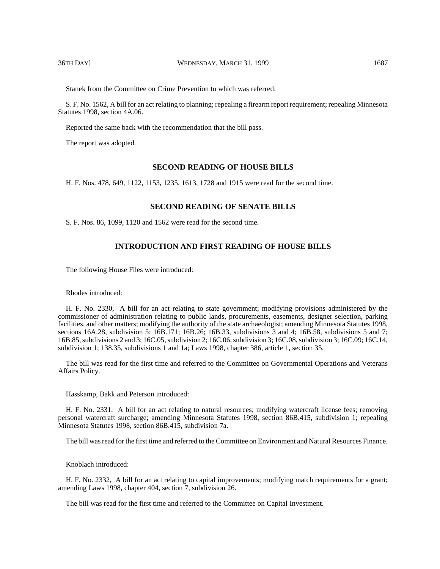Stanek from the Committee on Crime Prevention to which was referred:

S. F. No. 1562, A bill for an act relating to planning; repealing a firearm report requirement; repealing Minnesota Statutes 1998, section 4A.06.

Reported the same back with the recommendation that the bill pass.

The report was adopted.

## **SECOND READING OF HOUSE BILLS**

H. F. Nos. 478, 649, 1122, 1153, 1235, 1613, 1728 and 1915 were read for the second time.

# **SECOND READING OF SENATE BILLS**

S. F. Nos. 86, 1099, 1120 and 1562 were read for the second time.

# **INTRODUCTION AND FIRST READING OF HOUSE BILLS**

The following House Files were introduced:

Rhodes introduced:

H. F. No. 2330, A bill for an act relating to state government; modifying provisions administered by the commissioner of administration relating to public lands, procurements, easements, designer selection, parking facilities, and other matters; modifying the authority of the state archaeologist; amending Minnesota Statutes 1998, sections 16A.28, subdivision 5; 16B.171; 16B.26; 16B.33, subdivisions 3 and 4; 16B.58, subdivisions 5 and 7; 16B.85, subdivisions 2 and 3; 16C.05, subdivision 2; 16C.06, subdivision 3; 16C.08, subdivision 3; 16C.09; 16C.14, subdivision 1; 138.35, subdivisions 1 and 1a; Laws 1998, chapter 386, article 1, section 35.

The bill was read for the first time and referred to the Committee on Governmental Operations and Veterans Affairs Policy.

Hasskamp, Bakk and Peterson introduced:

H. F. No. 2331, A bill for an act relating to natural resources; modifying watercraft license fees; removing personal watercraft surcharge; amending Minnesota Statutes 1998, section 86B.415, subdivision 1; repealing Minnesota Statutes 1998, section 86B.415, subdivision 7a.

The bill was read for the first time and referred to the Committee on Environment and Natural Resources Finance.

Knoblach introduced:

H. F. No. 2332, A bill for an act relating to capital improvements; modifying match requirements for a grant; amending Laws 1998, chapter 404, section 7, subdivision 26.

The bill was read for the first time and referred to the Committee on Capital Investment.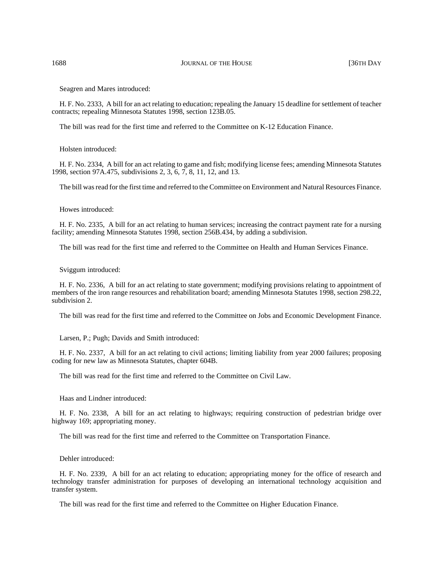Seagren and Mares introduced:

H. F. No. 2333, A bill for an act relating to education; repealing the January 15 deadline for settlement of teacher contracts; repealing Minnesota Statutes 1998, section 123B.05.

The bill was read for the first time and referred to the Committee on K-12 Education Finance.

#### Holsten introduced:

H. F. No. 2334, A bill for an act relating to game and fish; modifying license fees; amending Minnesota Statutes 1998, section 97A.475, subdivisions 2, 3, 6, 7, 8, 11, 12, and 13.

The bill was read for the first time and referred to the Committee on Environment and Natural Resources Finance.

#### Howes introduced:

H. F. No. 2335, A bill for an act relating to human services; increasing the contract payment rate for a nursing facility; amending Minnesota Statutes 1998, section 256B.434, by adding a subdivision.

The bill was read for the first time and referred to the Committee on Health and Human Services Finance.

#### Sviggum introduced:

H. F. No. 2336, A bill for an act relating to state government; modifying provisions relating to appointment of members of the iron range resources and rehabilitation board; amending Minnesota Statutes 1998, section 298.22, subdivision 2.

The bill was read for the first time and referred to the Committee on Jobs and Economic Development Finance.

Larsen, P.; Pugh; Davids and Smith introduced:

H. F. No. 2337, A bill for an act relating to civil actions; limiting liability from year 2000 failures; proposing coding for new law as Minnesota Statutes, chapter 604B.

The bill was read for the first time and referred to the Committee on Civil Law.

Haas and Lindner introduced:

H. F. No. 2338, A bill for an act relating to highways; requiring construction of pedestrian bridge over highway 169; appropriating money.

The bill was read for the first time and referred to the Committee on Transportation Finance.

Dehler introduced:

H. F. No. 2339, A bill for an act relating to education; appropriating money for the office of research and technology transfer administration for purposes of developing an international technology acquisition and transfer system.

The bill was read for the first time and referred to the Committee on Higher Education Finance.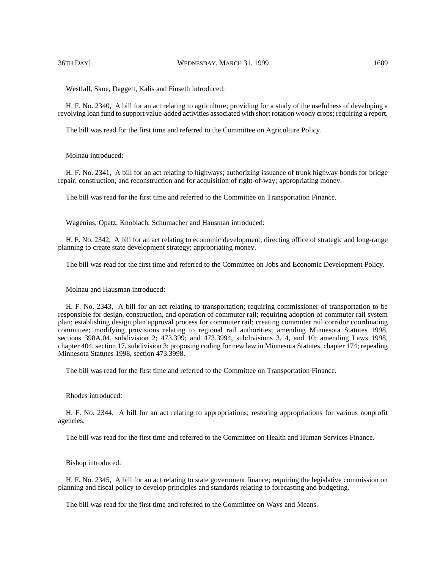Westfall, Skoe, Daggett, Kalis and Finseth introduced:

H. F. No. 2340, A bill for an act relating to agriculture; providing for a study of the usefulness of developing a revolving loan fund to support value-added activities associated with short rotation woody crops; requiring a report.

The bill was read for the first time and referred to the Committee on Agriculture Policy.

#### Molnau introduced:

H. F. No. 2341, A bill for an act relating to highways; authorizing issuance of trunk highway bonds for bridge repair, construction, and reconstruction and for acquisition of right-of-way; appropriating money.

The bill was read for the first time and referred to the Committee on Transportation Finance.

Wagenius, Opatz, Knoblach, Schumacher and Hausman introduced:

H. F. No. 2342, A bill for an act relating to economic development; directing office of strategic and long-range planning to create state development strategy; appropriating money.

The bill was read for the first time and referred to the Committee on Jobs and Economic Development Policy.

Molnau and Hausman introduced:

H. F. No. 2343, A bill for an act relating to transportation; requiring commissioner of transportation to be responsible for design, construction, and operation of commuter rail; requiring adoption of commuter rail system plan; establishing design plan approval process for commuter rail; creating commuter rail corridor coordinating committee; modifying provisions relating to regional rail authorities; amending Minnesota Statutes 1998, sections 398A.04, subdivision 2; 473.399; and 473.3994, subdivisions 3, 4, and 10; amending Laws 1998, chapter 404, section 17, subdivision 3; proposing coding for new law in Minnesota Statutes, chapter 174; repealing Minnesota Statutes 1998, section 473.3998.

The bill was read for the first time and referred to the Committee on Transportation Finance.

#### Rhodes introduced:

H. F. No. 2344, A bill for an act relating to appropriations; restoring appropriations for various nonprofit agencies.

The bill was read for the first time and referred to the Committee on Health and Human Services Finance.

#### Bishop introduced:

H. F. No. 2345, A bill for an act relating to state government finance; requiring the legislative commission on planning and fiscal policy to develop principles and standards relating to forecasting and budgeting.

The bill was read for the first time and referred to the Committee on Ways and Means.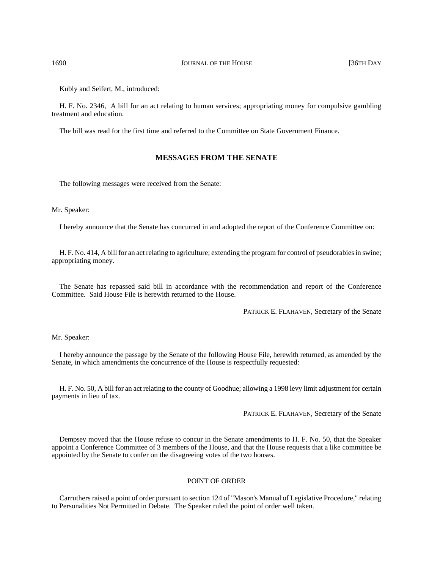1690 **JOURNAL OF THE HOUSE 1690 JOURNAL OF THE HOUSE 136TH DAY** 

Kubly and Seifert, M., introduced:

H. F. No. 2346, A bill for an act relating to human services; appropriating money for compulsive gambling treatment and education.

The bill was read for the first time and referred to the Committee on State Government Finance.

## **MESSAGES FROM THE SENATE**

The following messages were received from the Senate:

Mr. Speaker:

I hereby announce that the Senate has concurred in and adopted the report of the Conference Committee on:

H. F. No. 414, A bill for an act relating to agriculture; extending the program for control of pseudorabies in swine; appropriating money.

The Senate has repassed said bill in accordance with the recommendation and report of the Conference Committee. Said House File is herewith returned to the House.

PATRICK E. FLAHAVEN, Secretary of the Senate

Mr. Speaker:

I hereby announce the passage by the Senate of the following House File, herewith returned, as amended by the Senate, in which amendments the concurrence of the House is respectfully requested:

H. F. No. 50, A bill for an act relating to the county of Goodhue; allowing a 1998 levy limit adjustment for certain payments in lieu of tax.

PATRICK E. FLAHAVEN, Secretary of the Senate

Dempsey moved that the House refuse to concur in the Senate amendments to H. F. No. 50, that the Speaker appoint a Conference Committee of 3 members of the House, and that the House requests that a like committee be appointed by the Senate to confer on the disagreeing votes of the two houses.

#### POINT OF ORDER

Carruthers raised a point of order pursuant to section 124 of "Mason's Manual of Legislative Procedure," relating to Personalities Not Permitted in Debate. The Speaker ruled the point of order well taken.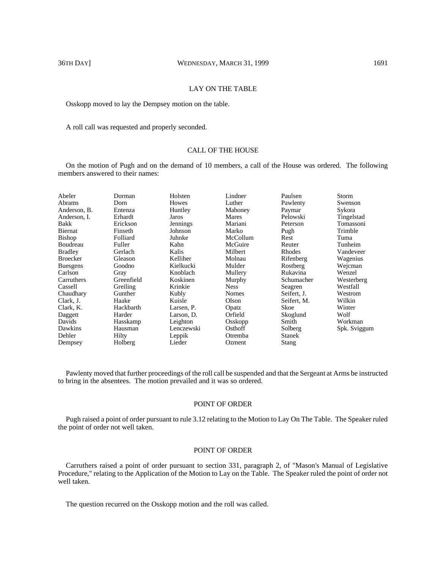## LAY ON THE TABLE

Osskopp moved to lay the Dempsey motion on the table.

A roll call was requested and properly seconded.

## CALL OF THE HOUSE

On the motion of Pugh and on the demand of 10 members, a call of the House was ordered. The following members answered to their names:

| Abeler          | Dorman     | Holsten    | Lindner       | Paulsen       | Storm        |
|-----------------|------------|------------|---------------|---------------|--------------|
| Abrams          | Dorn       | Howes      | Luther        | Pawlenty      | Swenson      |
| Anderson, B.    | Entenza    | Huntley    | Mahoney       | Paymar        | Sykora       |
| Anderson. I.    | Erhardt    | Jaros      | Mares         | Pelowski      | Tingelstad   |
| Bakk            | Erickson   | Jennings   | Mariani       | Peterson      | Tomassoni    |
| Biernat         | Finseth    | Johnson    | Marko         | Pugh          | Trimble      |
| Bishop          | Folliard   | Juhnke     | McCollum      | Rest          | Tuma         |
| Boudreau        | Fuller     | Kahn       | McGuire       | Reuter        | Tunheim      |
| <b>Bradley</b>  | Gerlach    | Kalis      | Milbert       | Rhodes        | Vandeveer    |
| <b>Broecker</b> | Gleason    | Kelliher   | Molnau        | Rifenberg     | Wagenius     |
| <b>Buesgens</b> | Goodno     | Kielkucki  | Mulder        | Rostberg      | Wejcman      |
| Carlson         | Gray       | Knoblach   | Mullery       | Rukavina      | Wenzel       |
| Carruthers      | Greenfield | Koskinen   | Murphy        | Schumacher    | Westerberg   |
| Cassell         | Greiling   | Krinkie    | <b>Ness</b>   | Seagren       | Westfall     |
| Chaudhary       | Gunther    | Kubly      | <b>Nornes</b> | Seifert, J.   | Westrom      |
| Clark, J.       | Haake      | Kuisle     | Olson         | Seifert, M.   | Wilkin       |
| Clark, K.       | Hackbarth  | Larsen, P. | Opatz         | Skoe          | Winter       |
| Daggett         | Harder     | Larson, D. | Orfield       | Skoglund      | Wolf         |
| Davids          | Hasskamp   | Leighton   | Osskopp       | Smith         | Workman      |
| Dawkins         | Hausman    | Lenczewski | Osthoff       | Solberg       | Spk. Sviggum |
| Dehler          | Hilty      | Leppik     | Otremba       | <b>Stanek</b> |              |
| Dempsey         | Holberg    | Lieder     | Ozment        | <b>Stang</b>  |              |

Pawlenty moved that further proceedings of the roll call be suspended and that the Sergeant at Arms be instructed to bring in the absentees. The motion prevailed and it was so ordered.

#### POINT OF ORDER

Pugh raised a point of order pursuant to rule 3.12 relating to the Motion to Lay On The Table. The Speaker ruled the point of order not well taken.

# POINT OF ORDER

Carruthers raised a point of order pursuant to section 331, paragraph 2, of "Mason's Manual of Legislative Procedure," relating to the Application of the Motion to Lay on the Table. The Speaker ruled the point of order not well taken.

The question recurred on the Osskopp motion and the roll was called.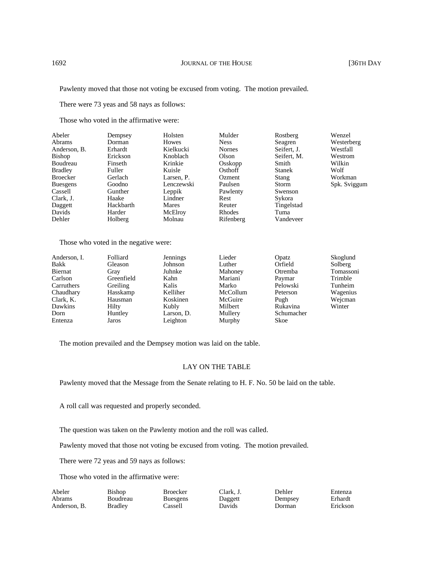Pawlenty moved that those not voting be excused from voting. The motion prevailed.

There were 73 yeas and 58 nays as follows:

Those who voted in the affirmative were:

| Abeler          | Dempsey   | Holsten    | Mulder        | Rostberg      | Wenzel       |
|-----------------|-----------|------------|---------------|---------------|--------------|
| <b>Abrams</b>   | Dorman    | Howes      | <b>Ness</b>   | Seagren       | Westerberg   |
| Anderson, B.    | Erhardt   | Kielkucki  | <b>Nornes</b> | Seifert, J.   | Westfall     |
| Bishop          | Erickson  | Knoblach   | Olson         | Seifert, M.   | Westrom      |
| Boudreau        | Finseth   | Krinkie    | Osskopp       | Smith         | Wilkin       |
| <b>Bradley</b>  | Fuller    | Kuisle     | Osthoff       | <b>Stanek</b> | Wolf         |
| Broecker        | Gerlach   | Larsen. P. | Ozment        | Stang         | Workman      |
| <b>Buesgens</b> | Goodno    | Lenczewski | Paulsen       | Storm         | Spk. Sviggum |
| Cassell         | Gunther   | Leppik     | Pawlenty      | Swenson       |              |
| Clark, J.       | Haake     | Lindner    | Rest          | Sykora        |              |
| Daggett         | Hackbarth | Mares      | Reuter        | Tingelstad    |              |
| Davids          | Harder    | McElroy    | Rhodes        | Tuma          |              |
| Dehler          | Holberg   | Molnau     | Rifenberg     | Vandeveer     |              |

Those who voted in the negative were:

| Anderson, I. | Folliard   | Jennings   | Lieder   | Opatz       | Skoglund  |
|--------------|------------|------------|----------|-------------|-----------|
| Bakk         | Gleason    | Johnson    | Luther   | Orfield     | Solberg   |
| Biernat      | Gray       | Juhnke     | Mahoney  | Otremba     | Tomassoni |
| Carlson      | Greenfield | Kahn       | Mariani  | Paymar      | Trimble   |
| Carruthers   | Greiling   | Kalis      | Marko    | Pelowski    | Tunheim   |
| Chaudhary    | Hasskamp   | Kelliher   | McCollum | Peterson    | Wagenius  |
| Clark, K.    | Hausman    | Koskinen   | McGuire  | Pugh        | Wejcman   |
| Dawkins      | Hilty      | Kubly      | Milbert  | Rukavina    | Winter    |
| Dorn         | Huntley    | Larson, D. | Mullery  | Schumacher  |           |
| Entenza      | Jaros      | Leighton   | Murphy   | <b>Skoe</b> |           |

The motion prevailed and the Dempsey motion was laid on the table.

# LAY ON THE TABLE

Pawlenty moved that the Message from the Senate relating to H. F. No. 50 be laid on the table.

A roll call was requested and properly seconded.

The question was taken on the Pawlenty motion and the roll was called.

Pawlenty moved that those not voting be excused from voting. The motion prevailed.

There were 72 yeas and 59 nays as follows:

Those who voted in the affirmative were:

| Abeler       | Bishop         | <b>Broecker</b> | Clark. J. | Dehler  | Entenza  |
|--------------|----------------|-----------------|-----------|---------|----------|
| Abrams       | Boudreau       | <b>Buesgens</b> | Daggett   | Dempsey | Erhardt  |
| Anderson, B. | <b>Bradley</b> | .`assell        | Davids    | Jorman  | Erickson |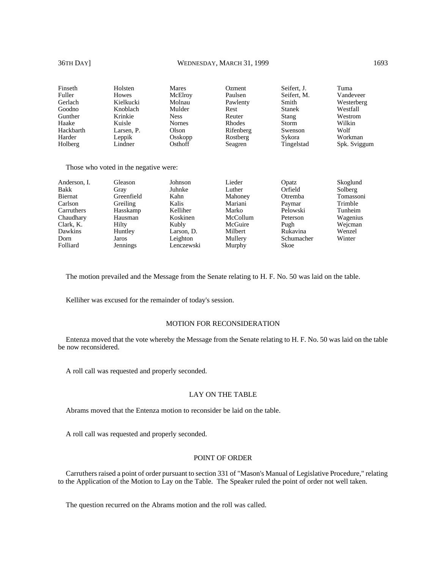### 36TH DAY] WEDNESDAY, MARCH 31, 1999 1693

| Finseth   | Holsten      | <b>Mares</b>  | Ozment    | Seifert, J.   | Tuma         |
|-----------|--------------|---------------|-----------|---------------|--------------|
| Fuller    | <b>Howes</b> | McElroy       | Paulsen   | Seifert, M.   | Vandeveer    |
| Gerlach   | Kielkucki    | Molnau        | Pawlenty  | Smith         | Westerberg   |
| Goodno    | Knoblach     | Mulder        | Rest      | <b>Stanek</b> | Westfall     |
| Gunther   | Krinkie      | <b>Ness</b>   | Reuter    | Stang         | Westrom      |
| Haake     | Kuisle       | <b>Nornes</b> | Rhodes    | <b>Storm</b>  | Wilkin       |
| Hackbarth | Larsen. P.   | Olson         | Rifenberg | Swenson       | Wolf         |
| Harder    | Leppik       | Osskopp       | Rostberg  | Sykora        | Workman      |
| Holberg   | Lindner      | Osthoff       | Seagren   | Tingelstad    | Spk. Sviggum |

Those who voted in the negative were:

| Anderson, I. | Gleason    | Johnson    | Lieder   | Opatz       | Skoglund  |
|--------------|------------|------------|----------|-------------|-----------|
| Bakk         | Gray       | Juhnke     | Luther   | Orfield     | Solberg   |
| Biernat      | Greenfield | Kahn       | Mahoney  | Otremba     | Tomassoni |
| Carlson      | Greiling   | Kalis      | Mariani  | Paymar      | Trimble   |
| Carruthers   | Hasskamp   | Kelliher   | Marko    | Pelowski    | Tunheim   |
| Chaudhary    | Hausman    | Koskinen   | McCollum | Peterson    | Wagenius  |
| Clark, K.    | Hilty      | Kubly      | McGuire  | Pugh        | Wejcman   |
| Dawkins      | Huntley    | Larson, D. | Milbert  | Rukavina    | Wenzel    |
| Dorn         | Jaros      | Leighton   | Mullery  | Schumacher  | Winter    |
| Folliard     | Jennings   | Lenczewski | Murphy   | <b>Skoe</b> |           |

The motion prevailed and the Message from the Senate relating to H. F. No. 50 was laid on the table.

Kelliher was excused for the remainder of today's session.

# MOTION FOR RECONSIDERATION

Entenza moved that the vote whereby the Message from the Senate relating to H. F. No. 50 was laid on the table be now reconsidered.

A roll call was requested and properly seconded.

### LAY ON THE TABLE

Abrams moved that the Entenza motion to reconsider be laid on the table.

A roll call was requested and properly seconded.

### POINT OF ORDER

Carruthers raised a point of order pursuant to section 331 of "Mason's Manual of Legislative Procedure," relating to the Application of the Motion to Lay on the Table. The Speaker ruled the point of order not well taken.

The question recurred on the Abrams motion and the roll was called.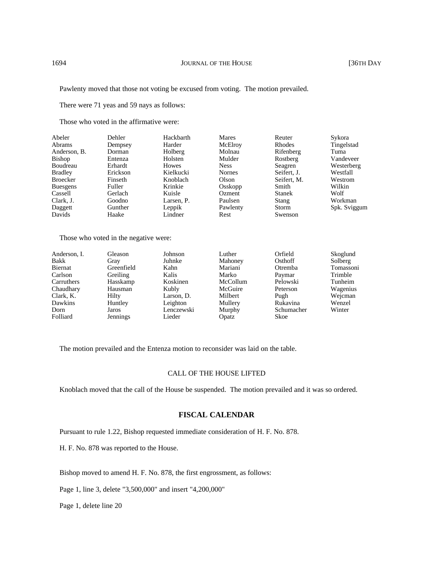Pawlenty moved that those not voting be excused from voting. The motion prevailed.

There were 71 yeas and 59 nays as follows:

Those who voted in the affirmative were:

| Abeler          | Dehler   | Hackbarth  | Mares         | Reuter        | Sykora       |
|-----------------|----------|------------|---------------|---------------|--------------|
| <b>Abrams</b>   | Dempsey  | Harder     | McElroy       | Rhodes        | Tingelstad   |
| Anderson, B.    | Dorman   | Holberg    | Molnau        | Rifenberg     | Tuma         |
| <b>Bishop</b>   | Entenza  | Holsten    | Mulder        | Rostberg      | Vandeveer    |
| Boudreau        | Erhardt  | Howes      | <b>Ness</b>   | Seagren       | Westerberg   |
| <b>Bradley</b>  | Erickson | Kielkucki  | <b>Nornes</b> | Seifert, J.   | Westfall     |
| <b>Broecker</b> | Finseth  | Knoblach   | Olson         | Seifert. M.   | Westrom      |
| <b>Buesgens</b> | Fuller   | Krinkie    | Osskopp       | Smith         | Wilkin       |
| Cassell         | Gerlach  | Kuisle     | Ozment        | <b>Stanek</b> | Wolf         |
| Clark, J.       | Goodno   | Larsen, P. | Paulsen       | Stang         | Workman      |
| Daggett         | Gunther  | Leppik     | Pawlenty      | Storm         | Spk. Sviggum |
| Davids          | Haake    | Lindner    | Rest          | Swenson       |              |

Those who voted in the negative were:

| Anderson, I. | Gleason    | Johnson    | Luther   | Orfield     | Skoglund  |
|--------------|------------|------------|----------|-------------|-----------|
| Bakk         | Gray       | Juhnke     | Mahoney  | Osthoff     | Solberg   |
| Biernat      | Greenfield | Kahn       | Mariani  | Otremba     | Tomassoni |
| Carlson      | Greiling   | Kalis      | Marko    | Paymar      | Trimble   |
| Carruthers   | Hasskamp   | Koskinen   | McCollum | Pelowski    | Tunheim   |
| Chaudhary    | Hausman    | Kubly      | McGuire  | Peterson    | Wagenius  |
| Clark, K.    | Hilty      | Larson, D. | Milbert  | Pugh        | Wejcman   |
| Dawkins      | Huntley    | Leighton   | Mullery  | Rukavina    | Wenzel    |
| Dorn         | Jaros      | Lenczewski | Murphy   | Schumacher  | Winter    |
| Folliard     | Jennings   | Lieder     | Opatz    | <b>Skoe</b> |           |

The motion prevailed and the Entenza motion to reconsider was laid on the table.

## CALL OF THE HOUSE LIFTED

Knoblach moved that the call of the House be suspended. The motion prevailed and it was so ordered.

# **FISCAL CALENDAR**

Pursuant to rule 1.22, Bishop requested immediate consideration of H. F. No. 878.

H. F. No. 878 was reported to the House.

Bishop moved to amend H. F. No. 878, the first engrossment, as follows:

Page 1, line 3, delete "3,500,000" and insert "4,200,000"

Page 1, delete line 20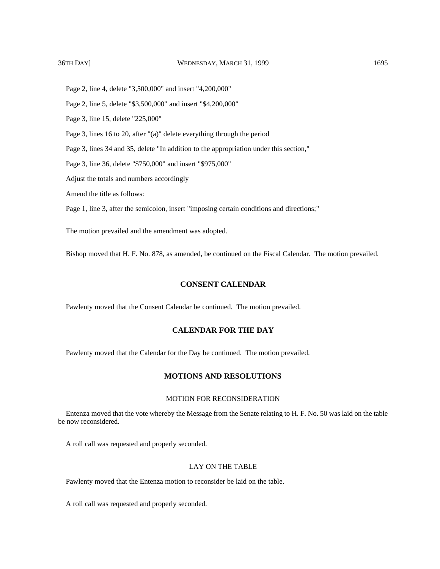Page 2, line 4, delete "3,500,000" and insert "4,200,000"

Page 2, line 5, delete "\$3,500,000" and insert "\$4,200,000"

Page 3, line 15, delete "225,000"

Page 3, lines 16 to 20, after "(a)" delete everything through the period

Page 3, lines 34 and 35, delete "In addition to the appropriation under this section,"

Page 3, line 36, delete "\$750,000" and insert "\$975,000"

Adjust the totals and numbers accordingly

Amend the title as follows:

Page 1, line 3, after the semicolon, insert "imposing certain conditions and directions;"

The motion prevailed and the amendment was adopted.

Bishop moved that H. F. No. 878, as amended, be continued on the Fiscal Calendar. The motion prevailed.

# **CONSENT CALENDAR**

Pawlenty moved that the Consent Calendar be continued. The motion prevailed.

# **CALENDAR FOR THE DAY**

Pawlenty moved that the Calendar for the Day be continued. The motion prevailed.

# **MOTIONS AND RESOLUTIONS**

## MOTION FOR RECONSIDERATION

Entenza moved that the vote whereby the Message from the Senate relating to H. F. No. 50 was laid on the table be now reconsidered.

A roll call was requested and properly seconded.

# LAY ON THE TABLE

Pawlenty moved that the Entenza motion to reconsider be laid on the table.

A roll call was requested and properly seconded.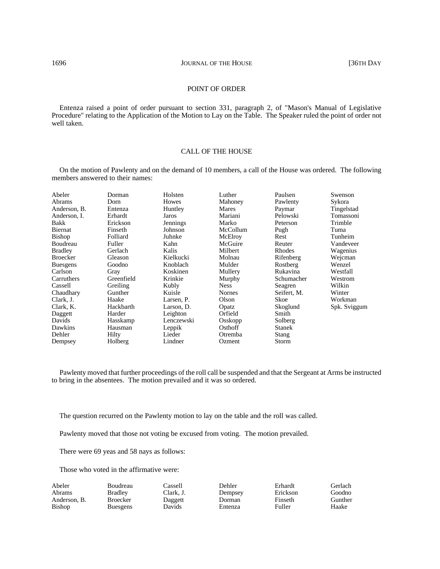## POINT OF ORDER

Entenza raised a point of order pursuant to section 331, paragraph 2, of "Mason's Manual of Legislative Procedure" relating to the Application of the Motion to Lay on the Table. The Speaker ruled the point of order not well taken.

### CALL OF THE HOUSE

On the motion of Pawlenty and on the demand of 10 members, a call of the House was ordered. The following members answered to their names:

| Abeler          | Dorman     | Holsten    | Luther      | Paulsen       | Swenson      |
|-----------------|------------|------------|-------------|---------------|--------------|
| Abrams          | Dorn       | Howes      | Mahoney     | Pawlenty      | Sykora       |
| Anderson, B.    | Entenza    | Huntley    | Mares       | Paymar        | Tingelstad   |
| Anderson, I.    | Erhardt    | Jaros      | Mariani     | Pelowski      | Tomassoni    |
| Bakk            | Erickson   | Jennings   | Marko       | Peterson      | Trimble      |
| Biernat         | Finseth    | Johnson    | McCollum    | Pugh          | Tuma         |
| <b>Bishop</b>   | Folliard   | Juhnke     | McElroy     | Rest          | Tunheim      |
| Boudreau        | Fuller     | Kahn       | McGuire     | Reuter        | Vandeveer    |
| <b>Bradley</b>  | Gerlach    | Kalis      | Milbert     | Rhodes        | Wagenius     |
| <b>Broecker</b> | Gleason    | Kielkucki  | Molnau      | Rifenberg     | Wejcman      |
| <b>Buesgens</b> | Goodno     | Knoblach   | Mulder      | Rostberg      | Wenzel       |
| Carlson         | Gray       | Koskinen   | Mullery     | Rukavina      | Westfall     |
| Carruthers      | Greenfield | Krinkie    | Murphy      | Schumacher    | Westrom      |
| Cassell         | Greiling   | Kubly      | <b>Ness</b> | Seagren       | Wilkin       |
| Chaudhary       | Gunther    | Kuisle     | Nornes      | Seifert, M.   | Winter       |
| Clark, J.       | Haake      | Larsen, P. | Olson       | Skoe          | Workman      |
| Clark, K.       | Hackbarth  | Larson, D. | Opatz       | Skoglund      | Spk. Sviggum |
| Daggett         | Harder     | Leighton   | Orfield     | Smith         |              |
| Davids          | Hasskamp   | Lenczewski | Osskopp     | Solberg       |              |
| Dawkins         | Hausman    | Leppik     | Osthoff     | <b>Stanek</b> |              |
| Dehler          | Hilty      | Lieder     | Otremba     | Stang         |              |
| Dempsey         | Holberg    | Lindner    | Ozment      | Storm         |              |

Pawlenty moved that further proceedings of the roll call be suspended and that the Sergeant at Arms be instructed to bring in the absentees. The motion prevailed and it was so ordered.

The question recurred on the Pawlenty motion to lay on the table and the roll was called.

Pawlenty moved that those not voting be excused from voting. The motion prevailed.

There were 69 yeas and 58 nays as follows:

Those who voted in the affirmative were:

| Boudreau        | Cassell   | Dehler  | Erhardt  |
|-----------------|-----------|---------|----------|
| <b>Bradley</b>  | Clark. J. | Dempsey | Erickson |
| <b>Broecker</b> | Daggett   | Dorman  | Finseth  |
| <b>Buesgens</b> | Davids    | Entenza | Fuller   |
|                 |           |         |          |

Gerlach Goodno Gunther Haake